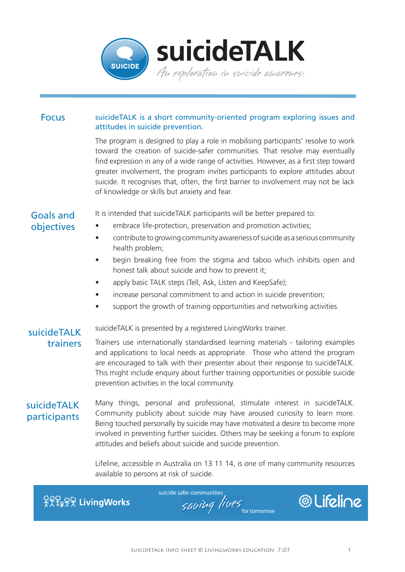

#### Focus suicideTALK is a short community-oriented program exploring issues and attitudes in suicide prevention.

The program is designed to play a role in mobilising participants' resolve to work toward the creation of suicide-safer communities. That resolve may eventually find expression in any of a wide range of activities. However, as a first step toward greater involvement, the program invites participants to explore attitudes about suicide. It recognises that, often, the first barrier to involvement may not be lack of knowledge or skills but anxiety and fear.

## Goals and objectives

It is intended that suicideTALK participants will be better prepared to:

- embrace life-protection, preservation and promotion activities;
- contribute to growing community awareness of suicide as a serious community health problem;
- begin breaking free from the stigma and taboo which inhibits open and honest talk about suicide and how to prevent it;
- apply basic TALK steps (Tell, Ask, Listen and KeepSafe);
- increase personal commitment to and action in suicide prevention:
- support the growth of training opportunities and networking activities.

# suicideTALK trainers

suicideTALK is presented by a registered LivingWorks trainer.

Trainers use internationally standardised learning materials - tailoring examples and applications to local needs as appropriate. Those who attend the program are encouraged to talk with their presenter about their response to suicideTALK. This might include enquiry about further training opportunities or possible suicide prevention activities in the local community.

# suicideTALK participants

Many things, personal and professional, stimulate interest in suicideTALK. Community publicity about suicide may have aroused curiosity to learn more. Being touched personally by suicide may have motivated a desire to become more involved in preventing further suicides. Others may be seeking a forum to explore attitudes and beliefs about suicide and suicide prevention.

Lifeline, accessible in Australia on 13 11 14, is one of many community resources available to persons at risk of suicide.